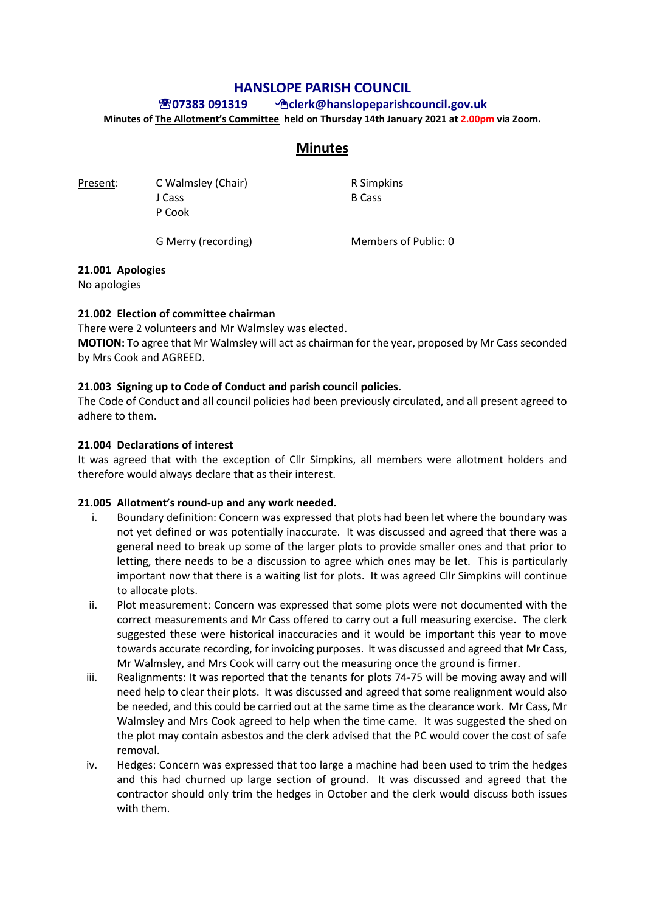# **HANSLOPE PARISH COUNCIL**

## **07383 091319 clerk@hanslopeparishcouncil.gov.uk**

**Minutes of The Allotment's Committee held on Thursday 14th January 2021 at 2.00pm via Zoom.** 

# **Minutes**

Present: C Walmsley (Chair) R Simpkins J Cass B Cass P Cook

G Merry (recording) Members of Public: 0

## **21.001 Apologies**

No apologies

## **21.002 Election of committee chairman**

There were 2 volunteers and Mr Walmsley was elected. **MOTION:** To agree that Mr Walmsley will act as chairman for the year, proposed by Mr Cass seconded by Mrs Cook and AGREED.

## **21.003 Signing up to Code of Conduct and parish council policies.**

The Code of Conduct and all council policies had been previously circulated, and all present agreed to adhere to them.

## **21.004 Declarations of interest**

It was agreed that with the exception of Cllr Simpkins, all members were allotment holders and therefore would always declare that as their interest.

#### **21.005 Allotment's round-up and any work needed.**

- i. Boundary definition: Concern was expressed that plots had been let where the boundary was not yet defined or was potentially inaccurate. It was discussed and agreed that there was a general need to break up some of the larger plots to provide smaller ones and that prior to letting, there needs to be a discussion to agree which ones may be let. This is particularly important now that there is a waiting list for plots. It was agreed Cllr Simpkins will continue to allocate plots.
- ii. Plot measurement: Concern was expressed that some plots were not documented with the correct measurements and Mr Cass offered to carry out a full measuring exercise. The clerk suggested these were historical inaccuracies and it would be important this year to move towards accurate recording, for invoicing purposes. It was discussed and agreed that Mr Cass, Mr Walmsley, and Mrs Cook will carry out the measuring once the ground is firmer.
- iii. Realignments: It was reported that the tenants for plots 74-75 will be moving away and will need help to clear their plots. It was discussed and agreed that some realignment would also be needed, and this could be carried out at the same time as the clearance work. Mr Cass, Mr Walmsley and Mrs Cook agreed to help when the time came. It was suggested the shed on the plot may contain asbestos and the clerk advised that the PC would cover the cost of safe removal.
- iv. Hedges: Concern was expressed that too large a machine had been used to trim the hedges and this had churned up large section of ground. It was discussed and agreed that the contractor should only trim the hedges in October and the clerk would discuss both issues with them.